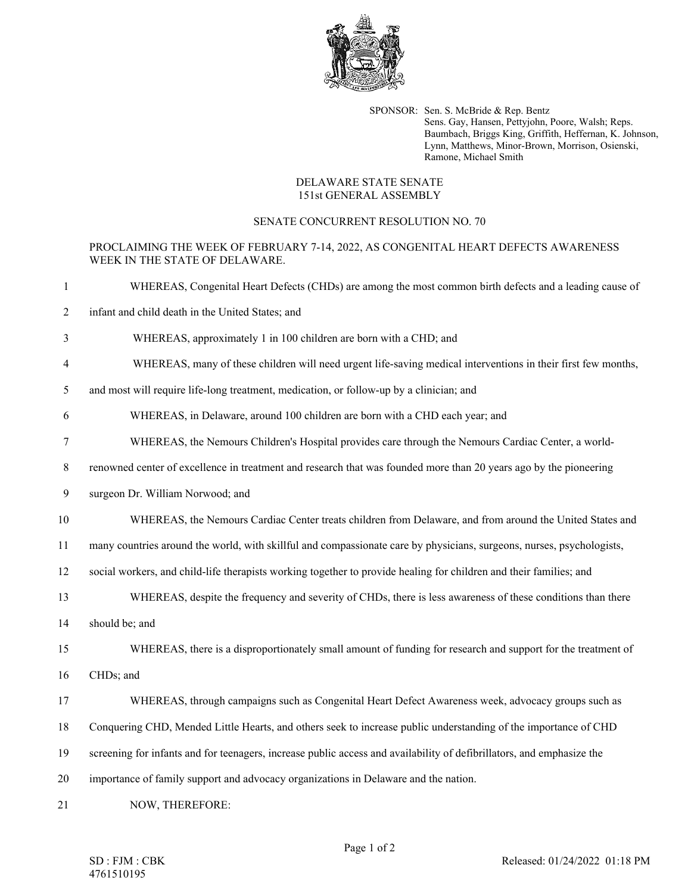

SPONSOR: Sen. S. McBride & Rep. Bentz Sens. Gay, Hansen, Pettyjohn, Poore, Walsh; Reps. Baumbach, Briggs King, Griffith, Heffernan, K. Johnson, Lynn, Matthews, Minor-Brown, Morrison, Osienski, Ramone, Michael Smith

## DELAWARE STATE SENATE 151st GENERAL ASSEMBLY

## SENATE CONCURRENT RESOLUTION NO. 70

## PROCLAIMING THE WEEK OF FEBRUARY 7-14, 2022, AS CONGENITAL HEART DEFECTS AWARENESS WEEK IN THE STATE OF DELAWARE.

- 1 WHEREAS, Congenital Heart Defects (CHDs) are among the most common birth defects and a leading cause of
- 2 infant and child death in the United States; and
- 3 WHEREAS, approximately 1 in 100 children are born with a CHD; and
- 4 WHEREAS, many of these children will need urgent life-saving medical interventions in their first few months,
- 5 and most will require life-long treatment, medication, or follow-up by a clinician; and
- 6 WHEREAS, in Delaware, around 100 children are born with a CHD each year; and
- 7 WHEREAS, the Nemours Children's Hospital provides care through the Nemours Cardiac Center, a world-
- 8 renowned center of excellence in treatment and research that was founded more than 20 years ago by the pioneering
- 9 surgeon Dr. William Norwood; and
- 10 WHEREAS, the Nemours Cardiac Center treats children from Delaware, and from around the United States and
- 11 many countries around the world, with skillful and compassionate care by physicians, surgeons, nurses, psychologists,
- 12 social workers, and child-life therapists working together to provide healing for children and their families; and
- 13 WHEREAS, despite the frequency and severity of CHDs, there is less awareness of these conditions than there
- 14 should be; and
- 15 WHEREAS, there is a disproportionately small amount of funding for research and support for the treatment of
- 16 CHDs; and
- 17 WHEREAS, through campaigns such as Congenital Heart Defect Awareness week, advocacy groups such as
- 18 Conquering CHD, Mended Little Hearts, and others seek to increase public understanding of the importance of CHD
- 19 screening for infants and for teenagers, increase public access and availability of defibrillators, and emphasize the
- 20 importance of family support and advocacy organizations in Delaware and the nation.
- 21 NOW, THEREFORE: